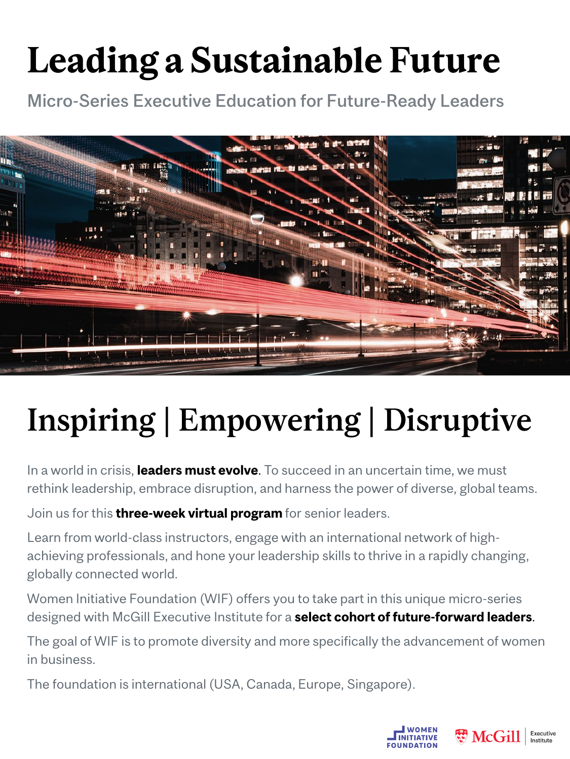# **Leading a Sustainable Future**

Micro-Series Executive Education for Future-Ready Leaders



# Inspiring | Empowering | Disruptive

In a world in crisis, **leaders must evolve**. To succeed in an uncertain time, we must rethink leadership, embrace disruption, and harness the power of diverse, global teams.

Join us for this **three-week virtual program** for senior leaders.

Learn from world-class instructors, engage with an international network of highachieving professionals, and hone your leadership skills to thrive in a rapidly changing, globally connected world.

Women Initiative Foundation (WIF) offers you to take part in this unique micro-series designed with McGill Executive Institute for a **select cohort of future-forward leaders**.

The goal of WIF is to promote diversity and more specifically the advancement of women in business.

The foundation is international (USA, Canada, Europe, Singapore).



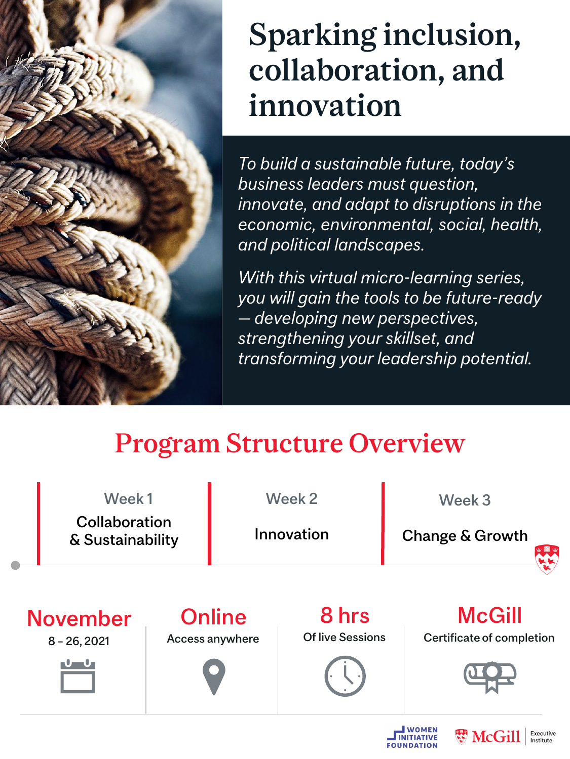

## Sparking inclusion, collaboration, and innovation

*To build a sustainable future, today's business leaders must question, innovate, and adapt to disruptions in the economic, environmental, social, health, and political landscapes.*

*With this virtual micro-learning series, you will gain the tools to be future-ready — developing new perspectives, strengthening your skillset, and transforming your leadership potential.*

## Program Structure Overview







Executive